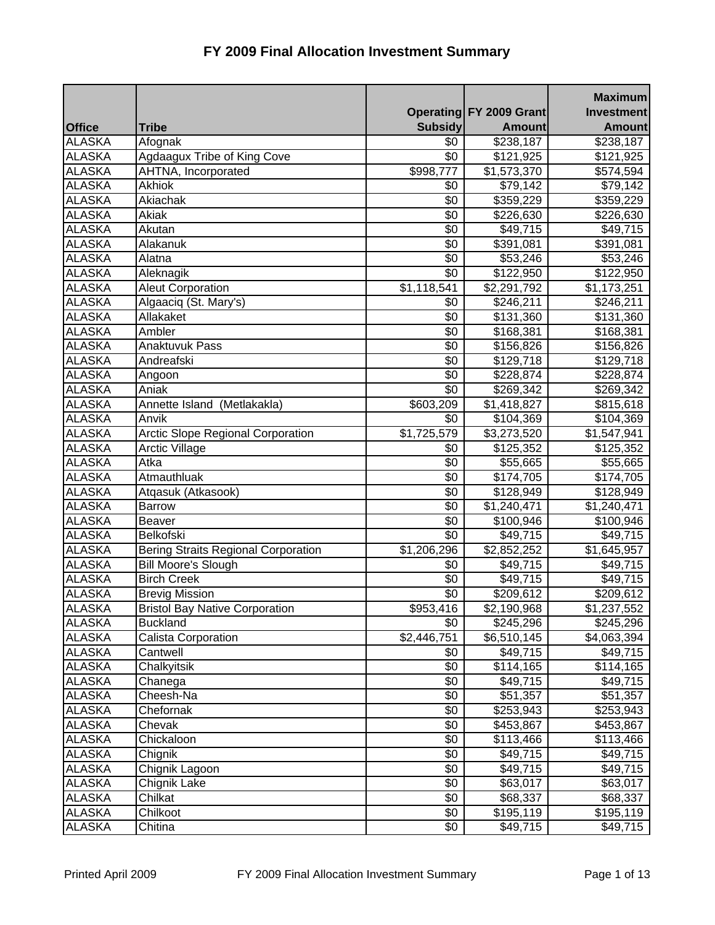|               |                                            |                |                         | <b>Maximum</b>        |
|---------------|--------------------------------------------|----------------|-------------------------|-----------------------|
|               |                                            |                | Operating FY 2009 Grant | <b>Investment</b>     |
| <b>Office</b> | <b>Tribe</b>                               | <b>Subsidy</b> | <b>Amount</b>           | <b>Amount</b>         |
| <b>ALASKA</b> | Afognak                                    | \$0            | \$238,187               | \$238,187             |
| <b>ALASKA</b> | Agdaagux Tribe of King Cove                | \$0            | \$121,925               | \$121,925             |
| <b>ALASKA</b> | AHTNA, Incorporated                        | \$998,777      | \$1,573,370             | \$574,594             |
| <b>ALASKA</b> | Akhiok                                     | \$0            | \$79,142                | \$79,142              |
| <b>ALASKA</b> | Akiachak                                   | \$0            | 359,229                 | \$359,229             |
| <b>ALASKA</b> | Akiak                                      | \$0            | \$226,630               | \$226,630             |
| <b>ALASKA</b> | Akutan                                     | \$0            | \$49,715                | \$49,715              |
| <b>ALASKA</b> | Alakanuk                                   | $\sqrt{6}$     | \$391,081               | \$391,081             |
| <b>ALASKA</b> | Alatna                                     | \$0            | \$53,246                | \$53,246              |
| <b>ALASKA</b> | Aleknagik                                  | \$0            | \$122,950               | $\overline{$}122,950$ |
| <b>ALASKA</b> | <b>Aleut Corporation</b>                   | \$1,118,541    | \$2,291,792             | \$1,173,251           |
| <b>ALASKA</b> | Algaaciq (St. Mary's)                      | \$0            | \$246,211               | \$246,211             |
| <b>ALASKA</b> | Allakaket                                  | \$0            | \$131,360               | \$131,360             |
| <b>ALASKA</b> | Ambler                                     | \$0            | \$168,381               | \$168,381             |
| <b>ALASKA</b> | <b>Anaktuvuk Pass</b>                      | \$0            | \$156,826               | \$156,826             |
| <b>ALASKA</b> | Andreafski                                 | \$0            | \$129,718               | \$129,718             |
| <b>ALASKA</b> | Angoon                                     | \$0            | \$228,874               | \$228,874             |
| <b>ALASKA</b> | Aniak                                      | \$0            | \$269,342               | \$269,342             |
| <b>ALASKA</b> | Annette Island (Metlakakla)                | \$603,209      | $\overline{1,}418,827$  | \$815,618             |
| <b>ALASKA</b> | Anvik                                      | \$0            | \$104,369               | \$104,369             |
| <b>ALASKA</b> | <b>Arctic Slope Regional Corporation</b>   | \$1,725,579    | \$3,273,520             | \$1,547,941           |
| <b>ALASKA</b> | <b>Arctic Village</b>                      | \$0            | \$125,352               | \$125,352             |
| <b>ALASKA</b> | Atka                                       | \$0            | \$55,665                | \$55,665              |
| <b>ALASKA</b> | Atmauthluak                                | \$0            | \$174,705               | \$174,705             |
| <b>ALASKA</b> | Atgasuk (Atkasook)                         | \$0            | \$128,949               | \$128,949             |
| <b>ALASKA</b> | <b>Barrow</b>                              | \$0            | $\overline{1,}240,471$  | \$1,240,471           |
| <b>ALASKA</b> | <b>Beaver</b>                              | \$0            | \$100,946               | \$100,946             |
| <b>ALASKA</b> | Belkofski                                  | \$0            | \$49,715                | \$49,715              |
| <b>ALASKA</b> | <b>Bering Straits Regional Corporation</b> | \$1,206,296    | \$2,852,252             | \$1,645,957           |
| <b>ALASKA</b> | <b>Bill Moore's Slough</b>                 | \$0            | \$49,715                | \$49,715              |
| <b>ALASKA</b> | <b>Birch Creek</b>                         | \$0            | \$49,715                | \$49,715              |
| <b>ALASKA</b> | <b>Brevig Mission</b>                      | \$0            | $\frac{1}{209,612}$     | \$209,612             |
| <b>ALASKA</b> | <b>Bristol Bay Native Corporation</b>      | \$953,416      | \$2,190,968             | \$1,237,552           |
| <b>ALASKA</b> | <b>Buckland</b>                            | \$0            | \$245,296               | \$245,296             |
| ALASKA        | Calista Corporation                        | \$2,446,751    | \$6,510,145             | \$4,063,394           |
| <b>ALASKA</b> | Cantwell                                   | \$0            | \$49,715                | \$49,715              |
| ALASKA        | Chalkyitsik                                | \$0            | \$114,165               | \$114,165             |
| ALASKA        | Chanega                                    | \$0            | \$49,715                | \$49,715              |
| <b>ALASKA</b> | Cheesh-Na                                  | \$0            | \$51,357                | \$51,357              |
| <b>ALASKA</b> | Chefornak                                  | \$0            | \$253,943               | \$253,943             |
| <b>ALASKA</b> | Chevak                                     | \$0            | \$453,867               | \$453,867             |
| <b>ALASKA</b> | Chickaloon                                 | \$0            | \$113,466               | \$113,466             |
| <b>ALASKA</b> | Chignik                                    | \$0            | \$49,715                | \$49,715              |
| <b>ALASKA</b> | Chignik Lagoon                             | \$0            | \$49,715                | \$49,715              |
| <b>ALASKA</b> | Chignik Lake                               | \$0            | \$63,017                | \$63,017              |
| <b>ALASKA</b> | Chilkat                                    | \$0            | \$68,337                | \$68,337              |
| <b>ALASKA</b> | Chilkoot                                   | \$0            | \$195,119               | \$195,119             |
| <b>ALASKA</b> | Chitina                                    | \$0            | \$49,715                | \$49,715              |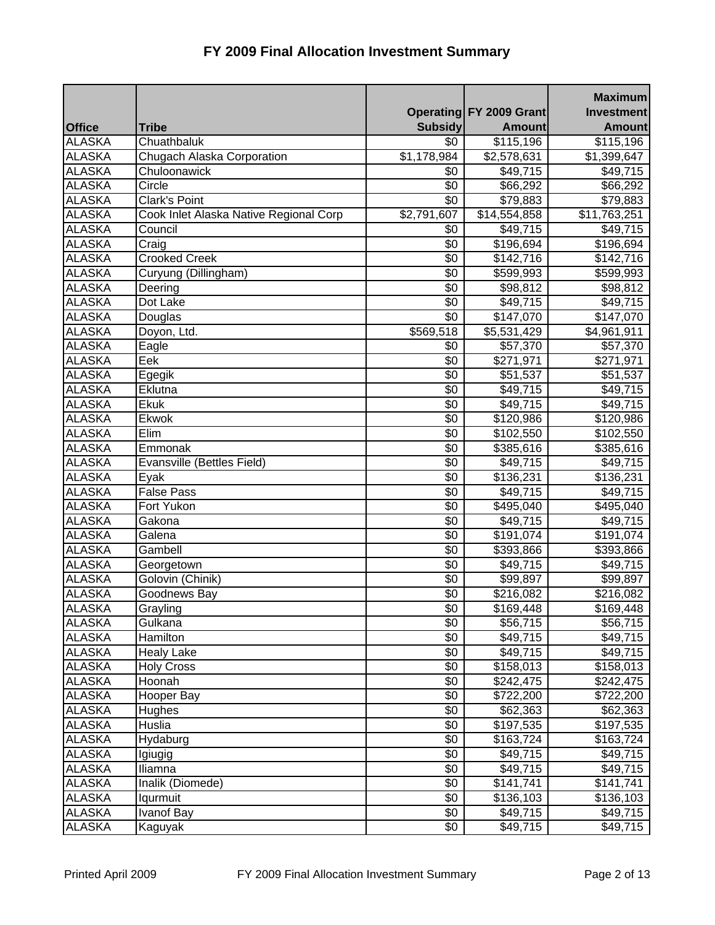|               |                                        |                    |                                | <b>Maximum</b>        |
|---------------|----------------------------------------|--------------------|--------------------------------|-----------------------|
|               |                                        |                    | <b>Operating FY 2009 Grant</b> | <b>Investment</b>     |
| <b>Office</b> | <b>Tribe</b>                           | <b>Subsidy</b>     | <b>Amount</b>                  | <b>Amount</b>         |
| <b>ALASKA</b> | Chuathbaluk                            | $\overline{30}$    | \$115,196                      | \$115,196             |
| <b>ALASKA</b> | Chugach Alaska Corporation             | \$1,178,984        | \$2,578,631                    | \$1,399,647           |
| <b>ALASKA</b> | Chuloonawick                           | \$0                | \$49,715                       | \$49,715              |
| <b>ALASKA</b> | Circle                                 | \$0                | \$66,292                       | \$66,292              |
| <b>ALASKA</b> | <b>Clark's Point</b>                   | \$0                | \$79,883                       | \$79,883              |
| <b>ALASKA</b> | Cook Inlet Alaska Native Regional Corp | $\sqrt{2,791,607}$ | $\overline{$14,554,858}$       | \$11,763,251          |
| <b>ALASKA</b> | Council                                | \$0                | \$49,715                       | \$49,715              |
| <b>ALASKA</b> | Craig                                  | \$0                | \$196,694                      | \$196,694             |
| <b>ALASKA</b> | <b>Crooked Creek</b>                   | \$0                | \$142,716                      | \$142,716             |
| <b>ALASKA</b> | Curyung (Dillingham)                   | $\sqrt{6}$         | \$599,993                      | \$599,993             |
| <b>ALASKA</b> | Deering                                | \$0                | \$98,812                       | \$98,812              |
| <b>ALASKA</b> | Dot Lake                               | \$0                | \$49,715                       | \$49,715              |
| <b>ALASKA</b> | Douglas                                | $\sqrt{6}$         | \$147,070                      | \$147,070             |
| <b>ALASKA</b> | Doyon, Ltd.                            | \$569,518          | \$5,531,429                    | \$4,961,911           |
| <b>ALASKA</b> | Eagle                                  | \$0                | \$57,370                       | \$57,370              |
| <b>ALASKA</b> | Eek                                    | \$0                | \$271,971                      | \$271,971             |
| <b>ALASKA</b> | Egegik                                 | \$0                | \$51,537                       | \$51,537              |
| <b>ALASKA</b> | Eklutna                                | \$0                | \$49,715                       | \$49,715              |
| <b>ALASKA</b> | Ekuk                                   | $\sqrt{6}$         | \$49,715                       | \$49,715              |
| <b>ALASKA</b> | Ekwok                                  | \$0                | \$120,986                      | \$120,986             |
| <b>ALASKA</b> | Elim                                   | \$0                | \$102,550                      | \$102,550             |
| <b>ALASKA</b> | Emmonak                                | $\overline{50}$    | \$385,616                      | \$385,616             |
| <b>ALASKA</b> | Evansville (Bettles Field)             | \$0                | \$49,715                       | \$49,715              |
| <b>ALASKA</b> | Eyak                                   | \$0                | $\overline{$}136,231$          | \$136,231             |
| <b>ALASKA</b> | <b>False Pass</b>                      | \$0                | \$49,715                       | \$49,715              |
| <b>ALASKA</b> | Fort Yukon                             | $\overline{50}$    | \$495,040                      | \$495,040             |
| <b>ALASKA</b> | Gakona                                 | \$0                | \$49,715                       | \$49,715              |
| <b>ALASKA</b> | Galena                                 | \$0                | \$191,074                      | \$191,074             |
| <b>ALASKA</b> | Gambell                                | \$0                | \$393,866                      | \$393,866             |
| <b>ALASKA</b> | Georgetown                             | \$0                | \$49,715                       | \$49,715              |
| <b>ALASKA</b> | Golovin (Chinik)                       | \$0                | \$99,897                       | \$99,897              |
| <b>ALASKA</b> | Goodnews Bay                           | $\sqrt[6]{}$       | \$216,082                      | $\overline{$}216,082$ |
| <b>ALASKA</b> | Grayling                               | \$0                | \$169,448                      | \$169,448             |
| <b>ALASKA</b> | Gulkana                                | \$0                | \$56,715                       | \$56,715              |
| <b>ALASKA</b> | Hamilton                               | \$0                | $\sqrt{2}49,715$               | \$49,715              |
| <b>ALASKA</b> | <b>Healy Lake</b>                      | \$0                | \$49,715                       | \$49,715              |
| <b>ALASKA</b> | <b>Holy Cross</b>                      | \$0                | \$158,013                      | \$158,013             |
| <b>ALASKA</b> | Hoonah                                 | $\sqrt[6]{}$       | \$242,475                      | \$242,475             |
| <b>ALASKA</b> | Hooper Bay                             | \$0                | \$722,200                      | \$722,200             |
| <b>ALASKA</b> | Hughes                                 | \$0                | \$62,363                       | \$62,363              |
| <b>ALASKA</b> | Huslia                                 | \$0                | \$197,535                      | \$197,535             |
| <b>ALASKA</b> | Hydaburg                               | \$0                | \$163,724                      | \$163,724             |
| <b>ALASKA</b> | Igiugig                                | \$0                | \$49,715                       | \$49,715              |
| <b>ALASKA</b> | Iliamna                                | \$0                | \$49,715                       | \$49,715              |
| <b>ALASKA</b> | Inalik (Diomede)                       | \$0                | \$141,741                      | \$141,741             |
| <b>ALASKA</b> | Iqurmuit                               | \$0                | \$136,103                      | \$136,103             |
| <b>ALASKA</b> | <b>Ivanof Bay</b>                      | $\overline{50}$    | \$49,715                       | \$49,715              |
| <b>ALASKA</b> | Kaguyak                                | \$0                | \$49,715                       | \$49,715              |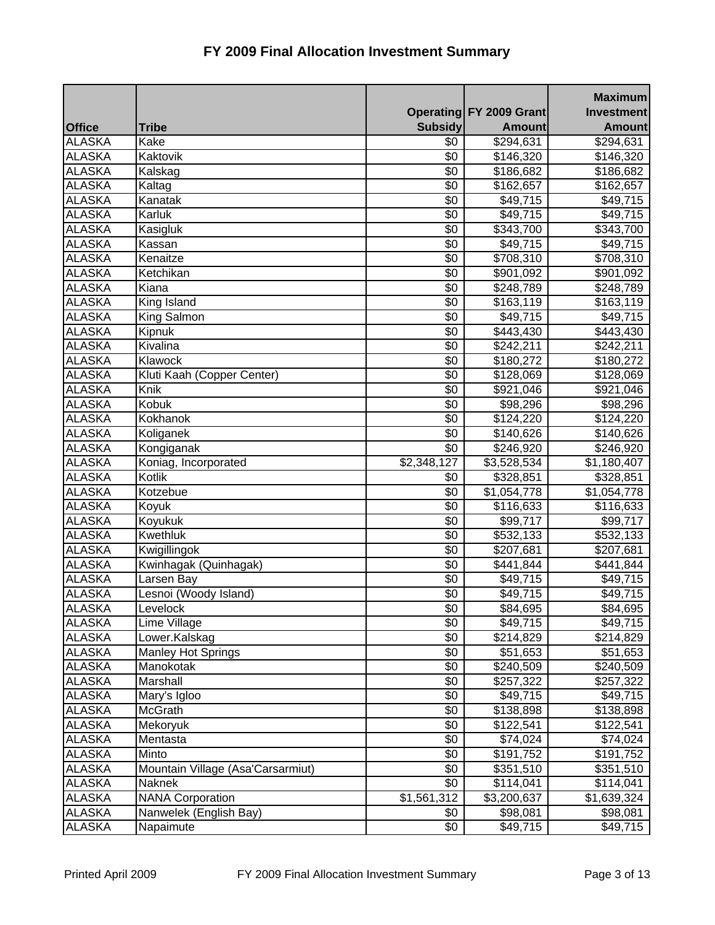|               |                                   |                |                                | <b>Maximum</b>       |
|---------------|-----------------------------------|----------------|--------------------------------|----------------------|
|               |                                   |                | <b>Operating FY 2009 Grant</b> | Investment           |
| <b>Office</b> | <b>Tribe</b>                      | <b>Subsidy</b> | <b>Amount</b>                  | <b>Amount</b>        |
| <b>ALASKA</b> | Kake                              | $\sqrt[6]{}$   | \$294,631                      | \$294,631            |
| <b>ALASKA</b> | Kaktovik                          | \$0            | \$146,320                      | \$146,320            |
| <b>ALASKA</b> | Kalskag                           | \$0            | \$186,682                      | \$186,682            |
| <b>ALASKA</b> | Kaltag                            | \$0            | \$162,657                      | \$162,657            |
| <b>ALASKA</b> | Kanatak                           | \$0            | \$49,715                       | \$49,715             |
| <b>ALASKA</b> | Karluk                            | \$0            | \$49,715                       | \$49,715             |
| <b>ALASKA</b> | Kasigluk                          | \$0            | \$343,700                      | \$343,700            |
| <b>ALASKA</b> | Kassan                            | $\sqrt{6}$     | \$49,715                       | \$49,715             |
| <b>ALASKA</b> | Kenaitze                          | \$0            | \$708,310                      | \$708,310            |
| <b>ALASKA</b> | Ketchikan                         | \$0            | \$901,092                      | \$901,092            |
| <b>ALASKA</b> | Kiana                             | \$0            | \$248,789                      | \$248,789            |
| <b>ALASKA</b> | King Island                       | \$0            | \$163,119                      | \$163,119            |
| <b>ALASKA</b> | King Salmon                       | \$0            | \$49,715                       | \$49,715             |
| <b>ALASKA</b> | Kipnuk                            | \$0            | \$443,430                      | \$443,430            |
| <b>ALASKA</b> | Kivalina                          | $\sqrt[6]{}$   | \$242,211                      | \$242,211            |
| <b>ALASKA</b> | Klawock                           | \$0            | \$180,272                      | \$180,272            |
| <b>ALASKA</b> | Kluti Kaah (Copper Center)        | \$0            | \$128,069                      | \$128,069            |
| <b>ALASKA</b> | Knik                              | \$0            | \$921,046                      | \$921,046            |
| <b>ALASKA</b> | Kobuk                             | $\sqrt{6}$     | \$98,296                       | \$98,296             |
| <b>ALASKA</b> | Kokhanok                          | \$0            | $\overline{$}124,220$          | \$124,220            |
| <b>ALASKA</b> | Koliganek                         | \$0            | \$140,626                      | \$140,626            |
| <b>ALASKA</b> | Kongiganak                        | \$0            | \$246,920                      | \$246,920            |
| <b>ALASKA</b> | Koniag, Incorporated              | \$2,348,127    | \$3,528,534                    | \$1,180,407          |
| <b>ALASKA</b> | Kotlik                            | \$0            | \$328,851                      | \$328,851            |
| <b>ALASKA</b> | Kotzebue                          | \$0            | \$1,054,778                    | \$1,054,778          |
| <b>ALASKA</b> | Koyuk                             | $\sqrt[6]{}$   | $\overline{$}116,633$          | $\sqrt{3}116,633$    |
| <b>ALASKA</b> | Koyukuk                           | \$0            | \$99,717                       | \$99,717             |
| <b>ALASKA</b> | Kwethluk                          | \$0            | \$532,133                      | \$532,133            |
| <b>ALASKA</b> | Kwigillingok                      | \$0            | \$207,681                      | \$207,681            |
| <b>ALASKA</b> | Kwinhagak (Quinhagak)             | \$0            | \$441,844                      | \$441,844            |
| <b>ALASKA</b> | Larsen Bay                        | \$0            | \$49,715                       | \$49,715             |
| <b>ALASKA</b> | Lesnoi (Woody Island)             | \$0            | \$49,715                       | \$49,715             |
| <b>ALASKA</b> | Levelock                          | \$0            | \$84,695                       | \$84,695             |
| <b>ALASKA</b> | Lime Village                      | \$0            | \$49,715                       | \$49,715             |
| ALASKA        | Lower.Kalskag                     | \$0            | \$214,829                      | \$214,829            |
| <b>ALASKA</b> | <b>Manley Hot Springs</b>         | \$0            | \$51,653                       | \$51,653             |
| <b>ALASKA</b> | Manokotak                         | \$0            | \$240,509                      | \$240,509            |
| <b>ALASKA</b> | Marshall                          | \$0            | \$257,322                      | \$257,322            |
| <b>ALASKA</b> | Mary's Igloo                      | \$0            | \$49,715                       | \$49,715             |
| <b>ALASKA</b> | McGrath                           | $\sqrt[6]{}$   | \$138,898                      | \$138,898            |
| <b>ALASKA</b> | Mekoryuk                          | \$0            | \$122,541                      | \$122,541            |
| <b>ALASKA</b> | Mentasta                          | \$0            | \$74,024                       | \$74,024             |
| <b>ALASKA</b> | Minto                             | \$0            | \$191,752                      | \$191,752            |
| <b>ALASKA</b> | Mountain Village (Asa'Carsarmiut) | \$0            | \$351,510                      | \$351,510            |
| ALASKA        | Naknek                            | \$0            | \$114,041                      | \$114,041            |
| <b>ALASKA</b> | <b>NANA Corporation</b>           | \$1,561,312    | \$3,200,637                    | \$1,639,324          |
| <b>ALASKA</b> | Nanwelek (English Bay)            | \$0            | \$98,081                       | \$98,081             |
| <b>ALASKA</b> | Napaimute                         | \$0            | $\overline{$}49,715$           | $\overline{$}49,715$ |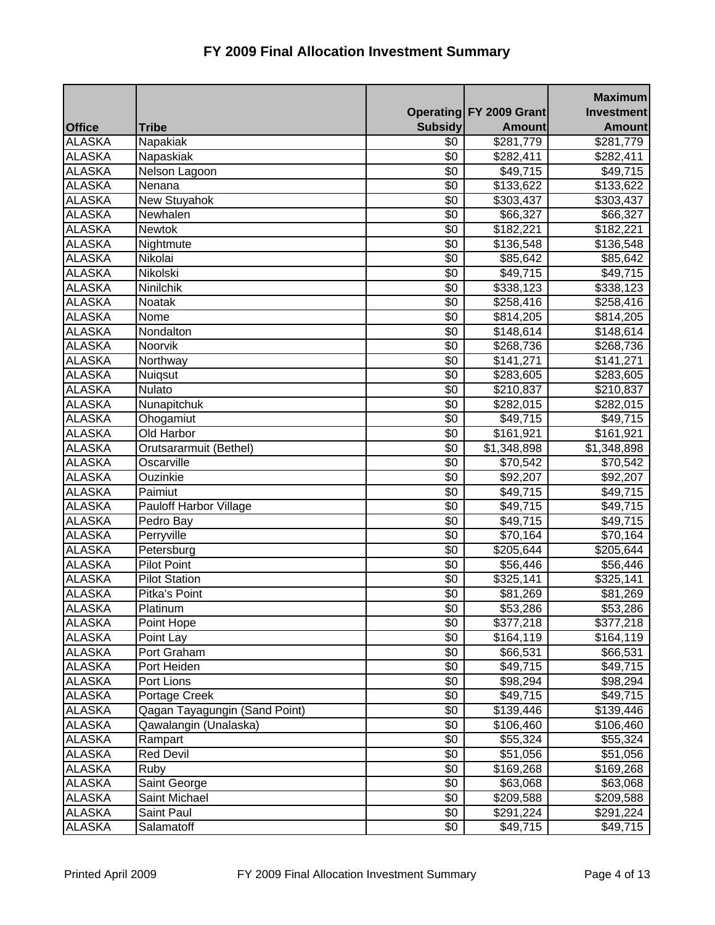|               |                               |                |                         | <b>Maximum</b>        |
|---------------|-------------------------------|----------------|-------------------------|-----------------------|
|               |                               |                | Operating FY 2009 Grant | <b>Investment</b>     |
| <b>Office</b> | <b>Tribe</b>                  | <b>Subsidy</b> | <b>Amount</b>           | <b>Amount</b>         |
| <b>ALASKA</b> | Napakiak                      | \$0            | \$281,779               | \$281,779             |
| <b>ALASKA</b> | Napaskiak                     | \$0            | \$282,411               | \$282,411             |
| <b>ALASKA</b> | Nelson Lagoon                 | $\sqrt{6}$     | \$49,715                | \$49,715              |
| <b>ALASKA</b> | Nenana                        | \$0            | $\overline{$}133,622$   | \$133,622             |
| <b>ALASKA</b> | New Stuyahok                  | \$0            | \$303,437               | \$303,437             |
| <b>ALASKA</b> | Newhalen                      | \$0            | \$66,327                | \$66,327              |
| <b>ALASKA</b> | Newtok                        | \$0            | \$182,221               | $\overline{$182,221}$ |
| <b>ALASKA</b> | Nightmute                     | $\sqrt{6}$     | \$136,548               | \$136,548             |
| <b>ALASKA</b> | Nikolai                       | $\sqrt{6}$     | \$85,642                | \$85,642              |
| <b>ALASKA</b> | Nikolski                      | \$0            | \$49,715                | \$49,715              |
| <b>ALASKA</b> | Ninilchik                     | \$0            | \$338,123               | \$338,123             |
| <b>ALASKA</b> | Noatak                        | \$0            | \$258,416               | \$258,416             |
| <b>ALASKA</b> | Nome                          | \$0            | \$814,205               | \$814,205             |
| <b>ALASKA</b> | Nondalton                     | \$0            | \$148,614               | \$148,614             |
| <b>ALASKA</b> | Noorvik                       | $\sqrt{6}$     | $\overline{$}268,736$   | \$268,736             |
| <b>ALASKA</b> | Northway                      | \$0            | \$141,271               | \$141,271             |
| <b>ALASKA</b> | Nuiqsut                       | \$0            | \$283,605               | \$283,605             |
| <b>ALASKA</b> | Nulato                        | \$0            | \$210,837               | \$210,837             |
| <b>ALASKA</b> | Nunapitchuk                   | $\sqrt[6]{}$   | \$282,015               | \$282,015             |
| <b>ALASKA</b> | Ohogamiut                     | \$0            | \$49,715                | \$49,715              |
| <b>ALASKA</b> | <b>Old Harbor</b>             | \$0            | \$161,921               | \$161,921             |
| <b>ALASKA</b> | Orutsararmuit (Bethel)        | $\sqrt{6}$     | \$1,348,898             | \$1,348,898           |
| <b>ALASKA</b> | Oscarville                    | \$0            | \$70,542                | \$70,542              |
| <b>ALASKA</b> | Ouzinkie                      | \$0            | \$92,207                | \$92,207              |
| <b>ALASKA</b> | Paimiut                       | \$0            | \$49,715                | \$49,715              |
| <b>ALASKA</b> | <b>Pauloff Harbor Village</b> | $\sqrt{6}$     | \$49,715                | \$49,715              |
| <b>ALASKA</b> | Pedro Bay                     | \$0            | \$49,715                | \$49,715              |
| <b>ALASKA</b> | Perryville                    | \$0            | \$70,164                | \$70,164              |
| <b>ALASKA</b> | Petersburg                    | \$0            | \$205,644               | \$205,644             |
| <b>ALASKA</b> | <b>Pilot Point</b>            | \$0            | \$56,446                | \$56,446              |
| <b>ALASKA</b> | <b>Pilot Station</b>          | \$0            | \$325,141               | \$325,141             |
| <b>ALASKA</b> | Pitka's Point                 | \$0            | \$81,269                | \$81,269              |
| <b>ALASKA</b> | Platinum                      | \$0            | \$53,286                | \$53,286              |
| <b>ALASKA</b> | Point Hope                    | \$0            | \$377,218               | \$377,218             |
| <b>ALASKA</b> | Point Lay                     | \$0            | \$164,119               | \$164,119             |
| <b>ALASKA</b> | Port Graham                   | \$0            | \$66,531                | \$66,531              |
| <b>ALASKA</b> | Port Heiden                   | \$0            | \$49,715                | \$49,715              |
| <b>ALASKA</b> | Port Lions                    | \$0            | \$98,294                | \$98,294              |
| <b>ALASKA</b> | Portage Creek                 | \$0            | \$49,715                | \$49,715              |
| <b>ALASKA</b> | Qagan Tayagungin (Sand Point) | \$0            | \$139,446               | \$139,446             |
| <b>ALASKA</b> | Qawalangin (Unalaska)         | \$0            | \$106,460               | \$106,460             |
| <b>ALASKA</b> | Rampart                       | \$0            | \$55,324                | \$55,324              |
| <b>ALASKA</b> | <b>Red Devil</b>              | \$0            | \$51,056                | \$51,056              |
| <b>ALASKA</b> | Ruby                          | \$0            | \$169,268               | \$169,268             |
| <b>ALASKA</b> | Saint George                  | \$0            | \$63,068                | \$63,068              |
| <b>ALASKA</b> | Saint Michael                 | \$0            | \$209,588               | \$209,588             |
| <b>ALASKA</b> | Saint Paul                    | \$0            | \$291,224               | \$291,224             |
| <b>ALASKA</b> | Salamatoff                    | \$0            | \$49,715                | \$49,715              |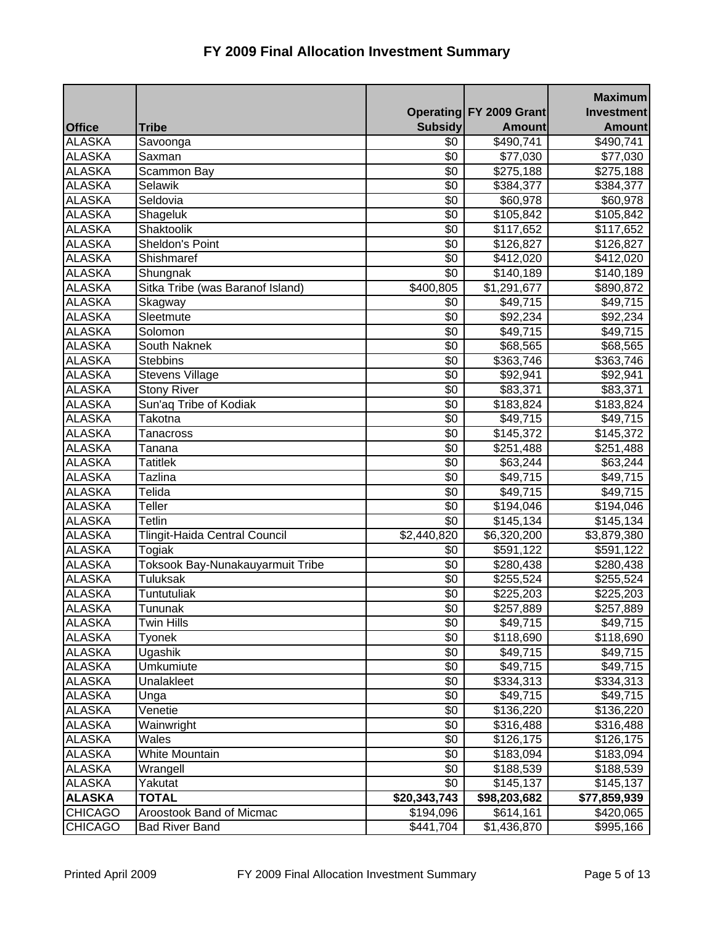|                |                                  |                |                                | <b>Maximum</b>    |
|----------------|----------------------------------|----------------|--------------------------------|-------------------|
|                |                                  |                | <b>Operating FY 2009 Grant</b> | <b>Investment</b> |
| <b>Office</b>  | <b>Tribe</b>                     | <b>Subsidy</b> | <b>Amount</b>                  | <b>Amount</b>     |
| <b>ALASKA</b>  | Savoonga                         | $\sqrt[6]{}$   | $\sqrt{490,741}$               | \$490,741         |
| <b>ALASKA</b>  | Saxman                           | \$0            | \$77,030                       | \$77,030          |
| <b>ALASKA</b>  | Scammon Bay                      | \$0            | \$275,188                      | \$275,188         |
| <b>ALASKA</b>  | Selawik                          | \$0            | \$384,377                      | \$384,377         |
| <b>ALASKA</b>  | Seldovia                         | \$0            | \$60,978                       | \$60,978          |
| <b>ALASKA</b>  | Shageluk                         | \$0            | \$105,842                      | \$105,842         |
| <b>ALASKA</b>  | Shaktoolik                       | $\sqrt[6]{}$   | \$117,652                      | \$117,652         |
| <b>ALASKA</b>  | Sheldon's Point                  | $\sqrt[6]{}$   | \$126,827                      | \$126,827         |
| <b>ALASKA</b>  | Shishmaref                       | \$0            | $\sqrt{2}412,020$              | \$412,020         |
| <b>ALASKA</b>  | Shungnak                         | $\sqrt[6]{}$   | \$140,189                      | \$140,189         |
| <b>ALASKA</b>  | Sitka Tribe (was Baranof Island) | \$400,805      | \$1,291,677                    | \$890,872         |
| <b>ALASKA</b>  | Skagway                          | \$0            | \$49,715                       | \$49,715          |
| <b>ALASKA</b>  | Sleetmute                        | \$0            | \$92,234                       | $\sqrt{$92,234}$  |
| <b>ALASKA</b>  | Solomon                          | \$0            | \$49,715                       | \$49,715          |
| <b>ALASKA</b>  | South Naknek                     | \$0            | \$68,565                       | \$68,565          |
| <b>ALASKA</b>  | <b>Stebbins</b>                  | \$0            | \$363,746                      | \$363,746         |
| <b>ALASKA</b>  | <b>Stevens Village</b>           | \$0            | \$92,941                       | \$92,941          |
| <b>ALASKA</b>  | <b>Stony River</b>               | \$0            | \$83,371                       | \$83,371          |
| <b>ALASKA</b>  | Sun'aq Tribe of Kodiak           | $\sqrt[6]{}$   | \$183,824                      | \$183,824         |
| <b>ALASKA</b>  | Takotna                          | \$0            | \$49,715                       | \$49,715          |
| <b>ALASKA</b>  | <b>Tanacross</b>                 | \$0            | \$145,372                      | \$145,372         |
| <b>ALASKA</b>  | Tanana                           | $\sqrt[6]{}$   | \$251,488                      | \$251,488         |
| <b>ALASKA</b>  | <b>Tatitlek</b>                  | \$0            | \$63,244                       | \$63,244          |
| <b>ALASKA</b>  | <b>Tazlina</b>                   | \$0            | \$49,715                       | \$49,715          |
| <b>ALASKA</b>  | Telida                           | \$0            | \$49,715                       | \$49,715          |
| <b>ALASKA</b>  | Teller                           | $\sqrt[6]{}$   | $\sqrt{3}194,046$              | \$194,046         |
| <b>ALASKA</b>  | <b>Tetlin</b>                    | \$0            | \$145,134                      | \$145,134         |
| <b>ALASKA</b>  | Tlingit-Haida Central Council    | \$2,440,820    | $\overline{$6,320,200}$        | \$3,879,380       |
| <b>ALASKA</b>  | Togiak                           | \$0            | \$591,122                      | \$591,122         |
| <b>ALASKA</b>  | Toksook Bay-Nunakauyarmuit Tribe | \$0            | \$280,438                      | \$280,438         |
| <b>ALASKA</b>  | <b>Tuluksak</b>                  | \$0            | \$255,524                      | \$255,524         |
| <b>ALASKA</b>  | Tuntutuliak                      | \$0            | \$225,203                      | \$225,203         |
| <b>ALASKA</b>  | Tununak                          | \$0            | \$257,889                      | \$257,889         |
| <b>ALASKA</b>  | Twin Hills                       | \$0            | \$49,715                       | \$49,715          |
| <b>ALASKA</b>  | Tyonek                           | \$0            | \$118,690                      | \$118,690         |
| <b>ALASKA</b>  | Ugashik                          | \$0            | \$49,715                       | \$49,715          |
| <b>ALASKA</b>  | Umkumiute                        | \$0            | \$49,715                       | \$49,715          |
| <b>ALASKA</b>  | Unalakleet                       | \$0            | \$334,313                      | \$334,313         |
| <b>ALASKA</b>  | Unga                             | \$0            | \$49,715                       | \$49,715          |
| <b>ALASKA</b>  | Venetie                          | \$0            | \$136,220                      | \$136,220         |
| <b>ALASKA</b>  | Wainwright                       | \$0            | \$316,488                      | \$316,488         |
| <b>ALASKA</b>  | Wales                            | \$0            | \$126,175                      | \$126,175         |
| <b>ALASKA</b>  | White Mountain                   | \$0            | \$183,094                      | \$183,094         |
| <b>ALASKA</b>  | Wrangell                         | \$0            | \$188,539                      | \$188,539         |
| <b>ALASKA</b>  | Yakutat                          | \$0            | \$145,137                      | \$145,137         |
| <b>ALASKA</b>  | <b>TOTAL</b>                     | \$20,343,743   | \$98,203,682                   | \$77,859,939      |
| <b>CHICAGO</b> | Aroostook Band of Micmac         | \$194,096      | \$614,161                      | \$420,065         |
| <b>CHICAGO</b> | <b>Bad River Band</b>            | \$441,704      | \$1,436,870                    | \$995,166         |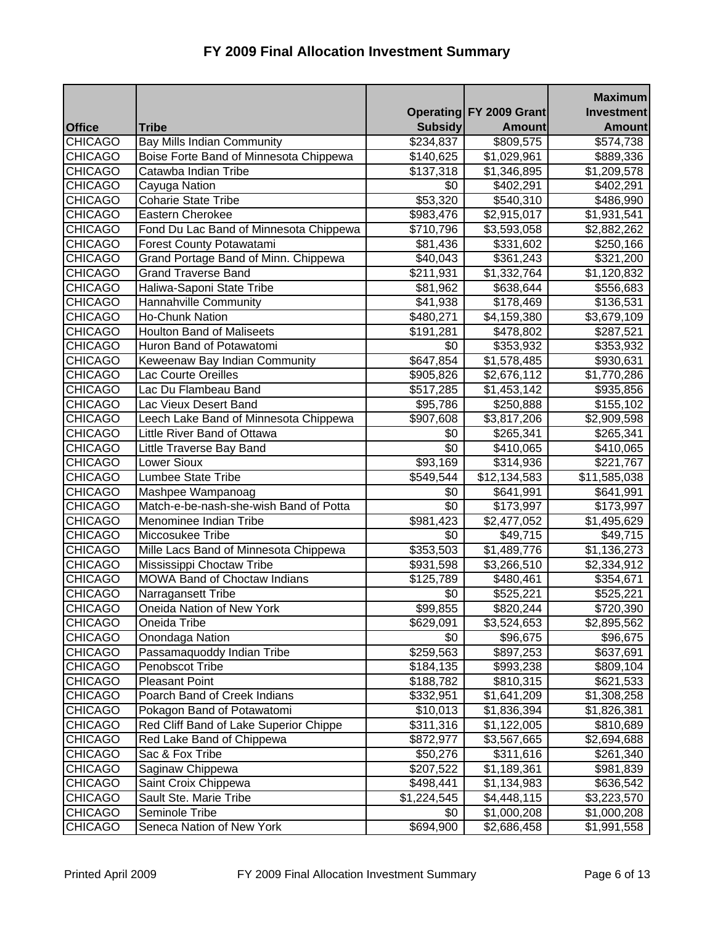| FY 2009 Final Allocation Investment Summary |
|---------------------------------------------|
|---------------------------------------------|

|                                  |                                                                |                             |                            | <b>Maximum</b><br>Investment           |
|----------------------------------|----------------------------------------------------------------|-----------------------------|----------------------------|----------------------------------------|
|                                  | <b>Tribe</b>                                                   |                             | Operating FY 2009 Grant    |                                        |
| <b>Office</b><br><b>CHICAGO</b>  | <b>Bay Mills Indian Community</b>                              | <b>Subsidy</b><br>\$234,837 | <b>Amount</b><br>\$809,575 | <b>Amount</b><br>$\overline{$}574,738$ |
| <b>CHICAGO</b>                   |                                                                |                             |                            |                                        |
|                                  | Boise Forte Band of Minnesota Chippewa<br>Catawba Indian Tribe | \$140,625                   | \$1,029,961                | \$889,336                              |
| <b>CHICAGO</b><br><b>CHICAGO</b> | Cayuga Nation                                                  | \$137,318<br>\$0            | \$1,346,895                | \$1,209,578                            |
| <b>CHICAGO</b>                   | <b>Coharie State Tribe</b>                                     |                             | \$402,291                  | \$402,291                              |
| <b>CHICAGO</b>                   | Eastern Cherokee                                               | \$53,320                    | \$540,310                  | \$486,990                              |
|                                  |                                                                | \$983,476                   | \$2,915,017                | \$1,931,541                            |
| <b>CHICAGO</b>                   | Fond Du Lac Band of Minnesota Chippewa                         | \$710,796                   | \$3,593,058                | \$2,882,262                            |
| <b>CHICAGO</b>                   | <b>Forest County Potawatami</b>                                | \$81,436                    | \$331,602                  | \$250,166                              |
| <b>CHICAGO</b>                   | Grand Portage Band of Minn. Chippewa                           | \$40,043                    | \$361,243                  | \$321,200                              |
| <b>CHICAGO</b>                   | <b>Grand Traverse Band</b>                                     | \$211,931                   | \$1,332,764                | \$1,120,832                            |
| <b>CHICAGO</b>                   | Haliwa-Saponi State Tribe                                      | \$81,962                    | \$638,644                  | \$556,683                              |
| <b>CHICAGO</b>                   | Hannahville Community                                          | \$41,938                    | \$178,469                  | \$136,531                              |
| <b>CHICAGO</b>                   | <b>Ho-Chunk Nation</b>                                         | \$480,271                   | $\overline{4,}159,380$     | $\overline{$3,679,109}$                |
| <b>CHICAGO</b>                   | <b>Houlton Band of Maliseets</b>                               | \$191,281                   | \$478,802                  | \$287,521                              |
| <b>CHICAGO</b>                   | Huron Band of Potawatomi                                       | \$0                         | \$353,932                  | \$353,932                              |
| <b>CHICAGO</b>                   | Keweenaw Bay Indian Community                                  | \$647,854                   | \$1,578,485                | \$930,631                              |
| <b>CHICAGO</b>                   | Lac Courte Oreilles                                            | \$905,826                   | \$2,676,112                | \$1,770,286                            |
| <b>CHICAGO</b>                   | Lac Du Flambeau Band                                           | \$517,285                   | \$1,453,142                | \$935,856                              |
| <b>CHICAGO</b>                   | Lac Vieux Desert Band                                          | \$95,786                    | \$250,888                  | \$155,102                              |
| <b>CHICAGO</b>                   | Leech Lake Band of Minnesota Chippewa                          | \$907,608                   | \$3,817,206                | \$2,909,598                            |
| <b>CHICAGO</b>                   | Little River Band of Ottawa                                    | \$0                         | \$265,341                  | \$265,341                              |
| <b>CHICAGO</b>                   | Little Traverse Bay Band                                       | $\sqrt[6]{}$                | \$410,065                  | \$410,065                              |
| <b>CHICAGO</b>                   | <b>Lower Sioux</b>                                             | \$93,169                    | \$314,936                  | \$221,767                              |
| <b>CHICAGO</b>                   | Lumbee State Tribe                                             | \$549,544                   | \$12,134,583               | \$11,585,038                           |
| <b>CHICAGO</b>                   | Mashpee Wampanoag                                              | \$0                         | \$641,991                  | \$641,991                              |
| <b>CHICAGO</b>                   | Match-e-be-nash-she-wish Band of Potta                         | \$0                         | \$173,997                  | \$173,997                              |
| <b>CHICAGO</b>                   | Menominee Indian Tribe                                         | \$981,423                   | \$2,477,052                | \$1,495,629                            |
| <b>CHICAGO</b>                   | Miccosukee Tribe                                               | \$0                         | \$49,715                   | \$49,715                               |
| <b>CHICAGO</b>                   | Mille Lacs Band of Minnesota Chippewa                          | \$353,503                   | \$1,489,776                | \$1,136,273                            |
| <b>CHICAGO</b>                   | Mississippi Choctaw Tribe                                      | \$931,598                   | \$3,266,510                | \$2,334,912                            |
| <b>CHICAGO</b>                   | <b>MOWA Band of Choctaw Indians</b>                            | \$125,789                   | \$480,461                  | \$354,671                              |
| <b>CHICAGO</b>                   | Narragansett Tribe                                             | \$0                         | \$525,221                  | \$525,221                              |
| <b>CHICAGO</b>                   | Oneida Nation of New York                                      | \$99,855                    | \$820,244                  | \$720,390                              |
| <b>CHICAGO</b>                   | Oneida Tribe                                                   | \$629,091                   | \$3,524,653                | \$2,895,562                            |
| <b>CHICAGO</b>                   | Onondaga Nation                                                | \$0                         | \$96,675                   | \$96,675                               |
| <b>CHICAGO</b>                   | Passamaquoddy Indian Tribe                                     | \$259,563                   | \$897,253                  | \$637,691                              |
| <b>CHICAGO</b>                   | Penobscot Tribe                                                | \$184,135                   | \$993,238                  | \$809,104                              |
| <b>CHICAGO</b>                   | <b>Pleasant Point</b>                                          | \$188,782                   | \$810,315                  | \$621,533                              |
| <b>CHICAGO</b>                   | Poarch Band of Creek Indians                                   | \$332,951                   | \$1,641,209                | \$1,308,258                            |
| <b>CHICAGO</b>                   | Pokagon Band of Potawatomi                                     | \$10,013                    | \$1,836,394                | \$1,826,381                            |
| <b>CHICAGO</b>                   | Red Cliff Band of Lake Superior Chippe                         | \$311,316                   | \$1,122,005                | \$810,689                              |
| <b>CHICAGO</b>                   | Red Lake Band of Chippewa                                      | \$872,977                   | \$3,567,665                | \$2,694,688                            |
| <b>CHICAGO</b>                   | Sac & Fox Tribe                                                | \$50,276                    | \$311,616                  | \$261,340                              |
| <b>CHICAGO</b>                   | Saginaw Chippewa                                               | \$207,522                   | \$1,189,361                | \$981,839                              |
| <b>CHICAGO</b>                   | Saint Croix Chippewa                                           | \$498,441                   | \$1,134,983                | \$636,542                              |
| <b>CHICAGO</b>                   | Sault Ste. Marie Tribe                                         | \$1,224,545                 | \$4,448,115                | \$3,223,570                            |
| <b>CHICAGO</b>                   | Seminole Tribe                                                 | \$0                         | \$1,000,208                | \$1,000,208                            |
| <b>CHICAGO</b>                   | Seneca Nation of New York                                      | \$694,900                   | \$2,686,458                | \$1,991,558                            |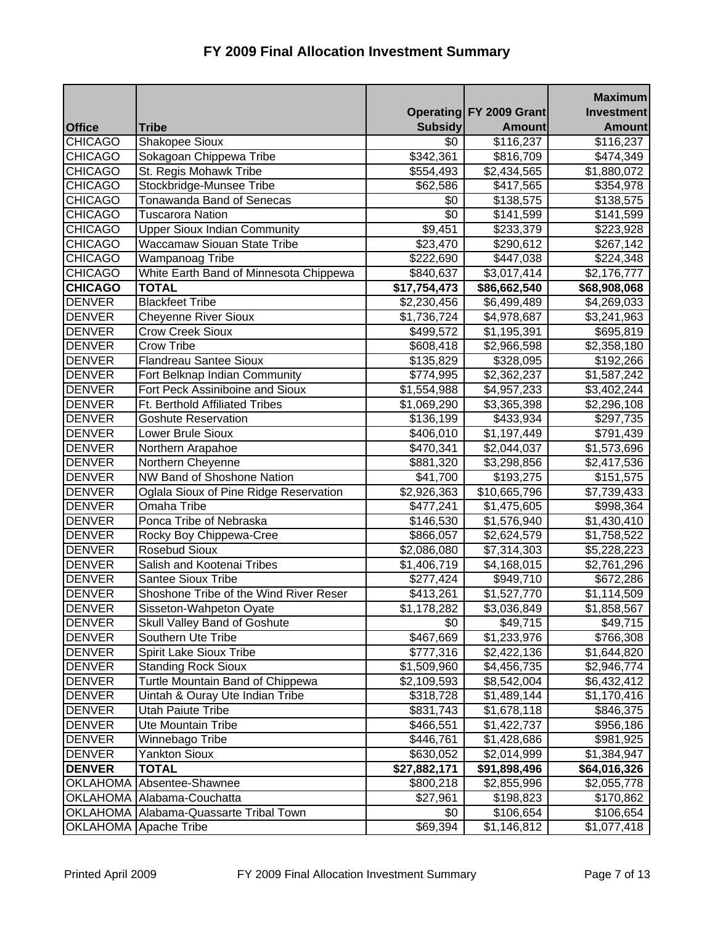|                |                                        |                |                         | <b>Maximum</b>          |
|----------------|----------------------------------------|----------------|-------------------------|-------------------------|
|                |                                        |                | Operating FY 2009 Grant | <b>Investment</b>       |
| <b>Office</b>  | <b>Tribe</b>                           | <b>Subsidy</b> | <b>Amount</b>           | <b>Amount</b>           |
| <b>CHICAGO</b> | Shakopee Sioux                         | \$0            | \$116,237               | \$116,237               |
| <b>CHICAGO</b> | Sokagoan Chippewa Tribe                | \$342,361      | \$816,709               | \$474,349               |
| <b>CHICAGO</b> | St. Regis Mohawk Tribe                 | \$554,493      | \$2,434,565             | \$1,880,072             |
| <b>CHICAGO</b> | Stockbridge-Munsee Tribe               | \$62,586       | \$417,565               | \$354,978               |
| <b>CHICAGO</b> | <b>Tonawanda Band of Senecas</b>       | \$0            | \$138,575               | \$138,575               |
| <b>CHICAGO</b> | <b>Tuscarora Nation</b>                | \$0            | \$141,599               | \$141,599               |
| <b>CHICAGO</b> | <b>Upper Sioux Indian Community</b>    | \$9,451        | \$233,379               | \$223,928               |
| <b>CHICAGO</b> | Waccamaw Siouan State Tribe            | \$23,470       | \$290,612               | \$267,142               |
| <b>CHICAGO</b> | Wampanoag Tribe                        | \$222,690      | \$447,038               | \$224,348               |
| <b>CHICAGO</b> | White Earth Band of Minnesota Chippewa | \$840,637      | \$3,017,414             | \$2,176,777             |
| <b>CHICAGO</b> | <b>TOTAL</b>                           | \$17,754,473   | \$86,662,540            | \$68,908,068            |
| <b>DENVER</b>  | <b>Blackfeet Tribe</b>                 | \$2,230,456    | \$6,499,489             | \$4,269,033             |
| <b>DENVER</b>  | <b>Cheyenne River Sioux</b>            | \$1,736,724    | \$4,978,687             | \$3,241,963             |
| <b>DENVER</b>  | <b>Crow Creek Sioux</b>                | \$499,572      | \$1,195,391             | \$695,819               |
| <b>DENVER</b>  | <b>Crow Tribe</b>                      | \$608,418      | \$2,966,598             | \$2,358,180             |
| <b>DENVER</b>  | <b>Flandreau Santee Sioux</b>          | \$135,829      | \$328,095               | \$192,266               |
| <b>DENVER</b>  | Fort Belknap Indian Community          | \$774,995      | \$2,362,237             | \$1,587,242             |
| <b>DENVER</b>  | Fort Peck Assiniboine and Sioux        | \$1,554,988    | \$4,957,233             | \$3,402,244             |
| <b>DENVER</b>  | Ft. Berthold Affiliated Tribes         | \$1,069,290    | \$3,365,398             | \$2,296,108             |
| <b>DENVER</b>  | <b>Goshute Reservation</b>             | \$136,199      | \$433,934               | \$297,735               |
| <b>DENVER</b>  | Lower Brule Sioux                      | \$406,010      | \$1,197,449             | \$791,439               |
| <b>DENVER</b>  | Northern Arapahoe                      | \$470,341      | \$2,044,037             | \$1,573,696             |
| <b>DENVER</b>  | Northern Cheyenne                      | \$881,320      | \$3,298,856             | \$2,417,536             |
| <b>DENVER</b>  | NW Band of Shoshone Nation             | \$41,700       | \$193,275               | \$151,575               |
| <b>DENVER</b>  | Oglala Sioux of Pine Ridge Reservation | \$2,926,363    | \$10,665,796            | \$7,739,433             |
| <b>DENVER</b>  | Omaha Tribe                            | \$477,241      | \$1,475,605             | \$998,364               |
| <b>DENVER</b>  | Ponca Tribe of Nebraska                | \$146,530      | \$1,576,940             | \$1,430,410             |
| <b>DENVER</b>  | Rocky Boy Chippewa-Cree                | \$866,057      | \$2,624,579             | \$1,758,522             |
| <b>DENVER</b>  | <b>Rosebud Sioux</b>                   | \$2,086,080    | \$7,314,303             | \$5,228,223             |
| <b>DENVER</b>  | Salish and Kootenai Tribes             | \$1,406,719    | \$4,168,015             | \$2,761,296             |
| <b>DENVER</b>  | <b>Santee Sioux Tribe</b>              | \$277,424      | \$949,710               | \$672,286               |
| <b>DENVER</b>  | Shoshone Tribe of the Wind River Reser | \$413,261      | $\overline{$}1,527,770$ | $\overline{$}1,114,509$ |
| <b>DENVER</b>  | Sisseton-Wahpeton Oyate                | \$1,178,282    | \$3,036,849             | \$1,858,567             |
| <b>DENVER</b>  | Skull Valley Band of Goshute           | \$0            | \$49,715                | \$49,715                |
| <b>DENVER</b>  | Southern Ute Tribe                     | \$467,669      | \$1,233,976             | \$766,308               |
| <b>DENVER</b>  | <b>Spirit Lake Sioux Tribe</b>         | \$777,316      | \$2,422,136             | \$1,644,820             |
| <b>DENVER</b>  | <b>Standing Rock Sioux</b>             | \$1,509,960    | \$4,456,735             | \$2,946,774             |
| <b>DENVER</b>  | Turtle Mountain Band of Chippewa       | \$2,109,593    | \$8,542,004             | \$6,432,412             |
| <b>DENVER</b>  | Uintah & Ouray Ute Indian Tribe        | \$318,728      | \$1,489,144             | \$1,170,416             |
| <b>DENVER</b>  | <b>Utah Paiute Tribe</b>               | \$831,743      | \$1,678,118             | \$846,375               |
| <b>DENVER</b>  | Ute Mountain Tribe                     | \$466,551      | \$1,422,737             | \$956,186               |
| <b>DENVER</b>  | Winnebago Tribe                        | \$446,761      | \$1,428,686             | \$981,925               |
| <b>DENVER</b>  | <b>Yankton Sioux</b>                   | \$630,052      | \$2,014,999             | \$1,384,947             |
| <b>DENVER</b>  | <b>TOTAL</b>                           | \$27,882,171   | \$91,898,496            | \$64,016,326            |
|                | OKLAHOMA Absentee-Shawnee              | \$800,218      | \$2,855,996             | \$2,055,778             |
|                | OKLAHOMA Alabama-Couchatta             | \$27,961       | \$198,823               | \$170,862               |
|                | OKLAHOMA Alabama-Quassarte Tribal Town | \$0            | \$106,654               | \$106,654               |
|                | OKLAHOMA Apache Tribe                  | \$69,394       | \$1,146,812             | \$1,077,418             |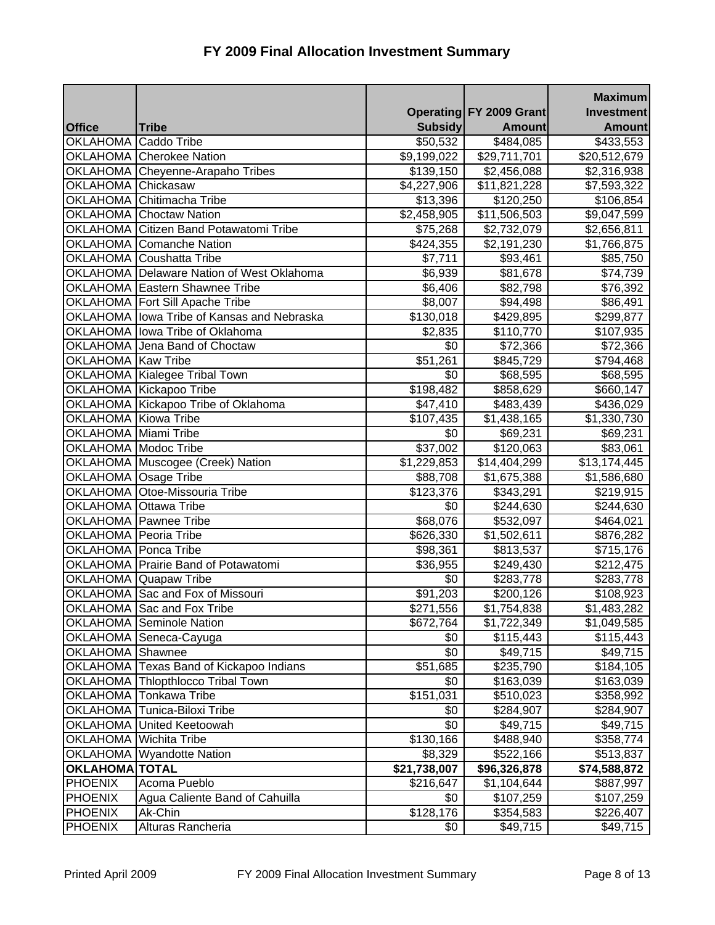|                             |                                            |                          |                                | <b>Maximum</b>          |
|-----------------------------|--------------------------------------------|--------------------------|--------------------------------|-------------------------|
|                             |                                            |                          | <b>Operating FY 2009 Grant</b> | <b>Investment</b>       |
| <b>Office</b>               | <b>Tribe</b>                               | <b>Subsidy</b>           | <b>Amount</b>                  | <b>Amount</b>           |
| OKLAHOMA Caddo Tribe        |                                            | \$50,532                 | $\sqrt{484,085}$               | \$433,553               |
|                             | OKLAHOMA Cherokee Nation                   | \$9,199,022              | $\overline{$29,711,701}$       | \$20,512,679            |
|                             | OKLAHOMA Cheyenne-Arapaho Tribes           | \$139,150                | \$2,456,088                    | \$2,316,938             |
| OKLAHOMA Chickasaw          |                                            | \$4,227,906              | \$11,821,228                   | \$7,593,322             |
|                             | OKLAHOMA Chitimacha Tribe                  | \$13,396                 | \$120,250                      | \$106,854               |
|                             | <b>OKLAHOMA</b> Choctaw Nation             | \$2,458,905              | $\overline{\$11,506,503}$      | $\overline{89,047,599}$ |
|                             | OKLAHOMA Citizen Band Potawatomi Tribe     | \$75,268                 | \$2,732,079                    | \$2,656,811             |
|                             | <b>OKLAHOMA</b> Comanche Nation            | \$424,355                | \$2,191,230                    | \$1,766,875             |
|                             | OKLAHOMA Coushatta Tribe                   | \$7,711                  | \$93,461                       | \$85,750                |
|                             | OKLAHOMA Delaware Nation of West Oklahoma  | \$6,939                  | \$81,678                       | \$74,739                |
|                             | <b>OKLAHOMA Eastern Shawnee Tribe</b>      | \$6,406                  | \$82,798                       | \$76,392                |
|                             | OKLAHOMA   Fort Sill Apache Tribe          | \$8,007                  | \$94,498                       | \$86,491                |
|                             | OKLAHOMA lowa Tribe of Kansas and Nebraska | \$130,018                | \$429,895                      | \$299,877               |
|                             | OKLAHOMA Iowa Tribe of Oklahoma            | \$2,835                  | \$110,770                      | \$107,935               |
|                             | OKLAHOMA Jena Band of Choctaw              | \$0                      | \$72,366                       | \$72,366                |
| OKLAHOMA Kaw Tribe          |                                            | \$51,261                 | $\overline{$845,729}$          | \$794,468               |
|                             | OKLAHOMA Kialegee Tribal Town              | \$0                      | \$68,595                       | \$68,595                |
|                             | OKLAHOMA Kickapoo Tribe                    | \$198,482                | \$858,629                      | \$660,147               |
|                             | OKLAHOMA Kickapoo Tribe of Oklahoma        | \$47,410                 | \$483,439                      | \$436,029               |
| OKLAHOMA Kiowa Tribe        |                                            | \$107,435                | \$1,438,165                    | \$1,330,730             |
| OKLAHOMA Miami Tribe        |                                            | \$0                      | \$69,231                       | \$69,231                |
| <b>OKLAHOMA</b> Modoc Tribe |                                            | \$37,002                 | $\overline{$}120,063$          | \$83,061                |
|                             | OKLAHOMA Muscogee (Creek) Nation           | \$1,229,853              | \$14,404,299                   | \$13,174,445            |
| OKLAHOMA Osage Tribe        |                                            | \$88,708                 | \$1,675,388                    | \$1,586,680             |
|                             | OKLAHOMA Otoe-Missouria Tribe              | \$123,376                | \$343,291                      | \$219,915               |
| OKLAHOMA Ottawa Tribe       |                                            | \$0                      | \$244,630                      | \$244,630               |
|                             | OKLAHOMA Pawnee Tribe                      | \$68,076                 | \$532,097                      | \$464,021               |
| OKLAHOMA Peoria Tribe       |                                            | \$626,330                | $\overline{$}1,502,611$        | \$876,282               |
| OKLAHOMA   Ponca Tribe      |                                            | \$98,361                 | \$813,537                      | \$715,176               |
|                             | <b>OKLAHOMA</b> Prairie Band of Potawatomi | \$36,955                 | \$249,430                      | \$212,475               |
|                             | OKLAHOMA Quapaw Tribe                      | \$0                      | \$283,778                      | \$283,778               |
|                             | OKLAHOMA Sac and Fox of Missouri           | \$91,203                 | \$200,126                      | \$108,923               |
|                             | OKLAHOMA Sac and Fox Tribe                 | \$271,556                | \$1,754,838                    | \$1,483,282             |
|                             | <b>OKLAHOMA Seminole Nation</b>            | \$672,764                | \$1,722,349                    | \$1,049,585             |
|                             | OKLAHOMA Seneca-Cayuga                     | \$0                      | \$115,443                      | \$115,443               |
| OKLAHOMA Shawnee            |                                            | \$0                      | \$49,715                       | \$49,715                |
|                             | OKLAHOMA Texas Band of Kickapoo Indians    | \$51,685                 | \$235,790                      | \$184,105               |
|                             | OKLAHOMA Thlopthlocco Tribal Town          | \$0                      | \$163,039                      | \$163,039               |
|                             | <b>OKLAHOMA Tonkawa Tribe</b>              | \$151,031                | \$510,023                      | \$358,992               |
|                             | <b>OKLAHOMA</b> Tunica-Biloxi Tribe        | \$0                      | \$284,907                      | \$284,907               |
|                             | OKLAHOMA United Keetoowah                  | \$0                      | \$49,715                       | \$49,715                |
|                             | OKLAHOMA Wichita Tribe                     | \$130,166                | \$488,940                      | \$358,774               |
|                             | OKLAHOMA Wyandotte Nation                  | \$8,329                  | \$522,166                      | \$513,837               |
| <b>OKLAHOMA TOTAL</b>       |                                            | $\overline{$21,738,007}$ | \$96,326,878                   | \$74,588,872            |
| <b>PHOENIX</b>              | Acoma Pueblo                               | \$216,647                | \$1,104,644                    | \$887,997               |
| PHOENIX                     | Agua Caliente Band of Cahuilla             | \$0                      | \$107,259                      | \$107,259               |
| <b>PHOENIX</b>              | Ak-Chin                                    | \$128,176                | \$354,583                      | \$226,407               |
| PHOENIX                     | Alturas Rancheria                          | \$0                      | \$49,715                       | \$49,715                |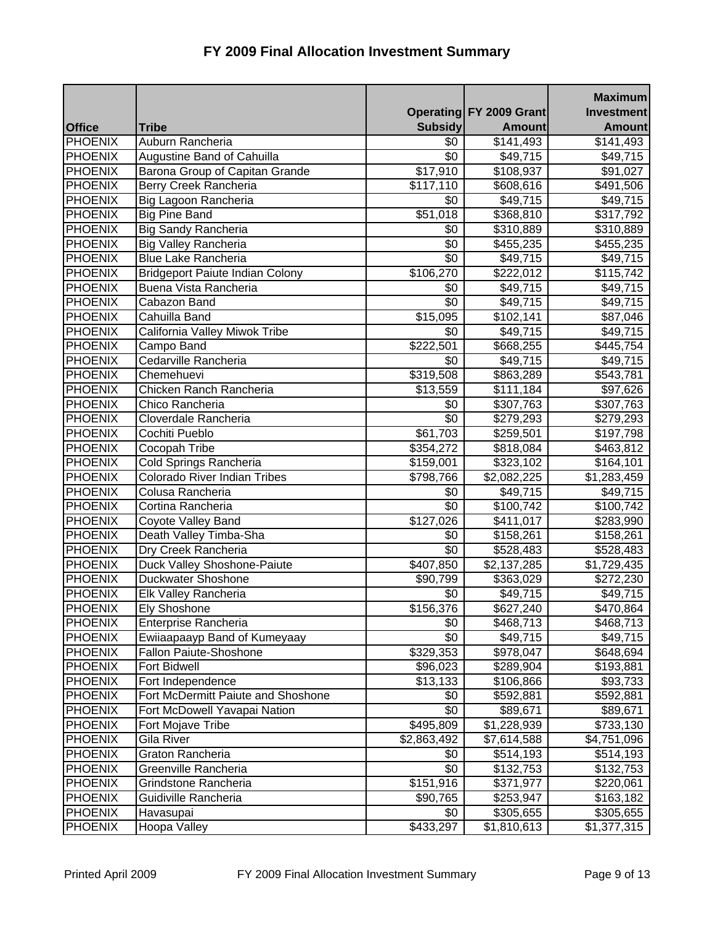|                |                                        |                  |                         | <b>Maximum</b>    |
|----------------|----------------------------------------|------------------|-------------------------|-------------------|
|                |                                        |                  | Operating FY 2009 Grant | <b>Investment</b> |
| <b>Office</b>  | Tribe                                  | <b>Subsidy</b>   | Amount                  | <b>Amount</b>     |
| <b>PHOENIX</b> | Auburn Rancheria                       | \$0              | \$141,493               | \$141,493         |
| <b>PHOENIX</b> | Augustine Band of Cahuilla             | \$0              | \$49,715                | \$49,715          |
| <b>PHOENIX</b> | Barona Group of Capitan Grande         | \$17,910         | \$108,937               | \$91,027          |
| <b>PHOENIX</b> | Berry Creek Rancheria                  | \$117,110        | \$608,616               | \$491,506         |
| <b>PHOENIX</b> | Big Lagoon Rancheria                   | \$0              | \$49,715                | \$49,715          |
| <b>PHOENIX</b> | <b>Big Pine Band</b>                   | \$51,018         | $\overline{$}368,810$   | \$317,792         |
| <b>PHOENIX</b> | <b>Big Sandy Rancheria</b>             | \$0              | \$310,889               | \$310,889         |
| <b>PHOENIX</b> | <b>Big Valley Rancheria</b>            | \$0              | \$455,235               | \$455,235         |
| <b>PHOENIX</b> | <b>Blue Lake Rancheria</b>             | \$0              | \$49,715                | \$49,715          |
| <b>PHOENIX</b> | <b>Bridgeport Paiute Indian Colony</b> | \$106,270        | \$222,012               | \$115,742         |
| <b>PHOENIX</b> | Buena Vista Rancheria                  | \$0              | \$49,715                | \$49,715          |
| <b>PHOENIX</b> | Cabazon Band                           | \$0              | \$49,715                | \$49,715          |
| <b>PHOENIX</b> | Cahuilla Band                          | \$15,095         | \$102,141               | \$87,046          |
| <b>PHOENIX</b> | California Valley Miwok Tribe          | \$0              | \$49,715                | \$49,715          |
| <b>PHOENIX</b> | Campo Band                             | \$222,501        | \$668,255               | \$445,754         |
| PHOENIX        | Cedarville Rancheria                   | \$0              | \$49,715                | \$49,715          |
| PHOENIX        | Chemehuevi                             | \$319,508        | \$863,289               | \$543,781         |
| PHOENIX        | Chicken Ranch Rancheria                | \$13,559         | \$111,184               | \$97,626          |
| <b>PHOENIX</b> | Chico Rancheria                        | \$0              | \$307,763               | \$307,763         |
| <b>PHOENIX</b> | Cloverdale Rancheria                   | \$0              | \$279,293               | \$279,293         |
| <b>PHOENIX</b> | Cochiti Pueblo                         | \$61,703         | \$259,501               | \$197,798         |
| PHOENIX        | <b>Cocopah Tribe</b>                   | \$354,272        | \$818,084               | \$463,812         |
| PHOENIX        | Cold Springs Rancheria                 | \$159,001        | \$323,102               | \$164,101         |
| <b>PHOENIX</b> | <b>Colorado River Indian Tribes</b>    | \$798,766        | \$2,082,225             | \$1,283,459       |
| <b>PHOENIX</b> | Colusa Rancheria                       | \$0              | \$49,715                | \$49,715          |
| <b>PHOENIX</b> | Cortina Rancheria                      | $\overline{50}$  | \$100,742               | \$100,742         |
| <b>PHOENIX</b> | Coyote Valley Band                     | \$127,026        | \$411,017               | \$283,990         |
| <b>PHOENIX</b> | Death Valley Timba-Sha                 | \$0              | \$158,261               | \$158,261         |
| <b>PHOENIX</b> | Dry Creek Rancheria                    | \$0              | \$528,483               | \$528,483         |
| PHOENIX        | Duck Valley Shoshone-Paiute            | $\sqrt{407,850}$ | $\overline{$2,137,285}$ | \$1,729,435       |
| <b>PHOENIX</b> | Duckwater Shoshone                     | \$90,799         | \$363,029               | \$272,230         |
| <b>PHOENIX</b> | Elk Valley Rancheria                   | \$0              | \$49,715                | \$49,715          |
| <b>PHOENIX</b> | <b>Ely Shoshone</b>                    | \$156,376        | \$627,240               | \$470,864         |
| PHOENIX        | Enterprise Rancheria                   | \$0              | \$468,713               | \$468,713         |
| PHOENIX        | Ewiiaapaayp Band of Kumeyaay           | \$0              | \$49,715                | \$49,715          |
| PHOENIX        | Fallon Paiute-Shoshone                 | \$329,353        | \$978,047               | \$648,694         |
| PHOENIX        | <b>Fort Bidwell</b>                    | \$96,023         | \$289,904               | \$193,881         |
| <b>PHOENIX</b> | Fort Independence                      | \$13,133         | \$106,866               | \$93,733          |
| <b>PHOENIX</b> | Fort McDermitt Paiute and Shoshone     | \$0              | \$592,881               | \$592,881         |
| <b>PHOENIX</b> | Fort McDowell Yavapai Nation           | \$0              | \$89,671                | \$89,671          |
| <b>PHOENIX</b> | Fort Mojave Tribe                      | \$495,809        | \$1,228,939             | \$733,130         |
| <b>PHOENIX</b> | Gila River                             | \$2,863,492      | \$7,614,588             | \$4,751,096       |
| PHOENIX        | Graton Rancheria                       | \$0              | \$514,193               | \$514,193         |
| <b>PHOENIX</b> | Greenville Rancheria                   | \$0              | \$132,753               | \$132,753         |
| <b>PHOENIX</b> | Grindstone Rancheria                   | \$151,916        | \$371,977               | \$220,061         |
| <b>PHOENIX</b> | Guidiville Rancheria                   | \$90,765         | \$253,947               | \$163,182         |
| <b>PHOENIX</b> | Havasupai                              | \$0              | \$305,655               | \$305,655         |
| PHOENIX        | Hoopa Valley                           | \$433,297        | \$1,810,613             | \$1,377,315       |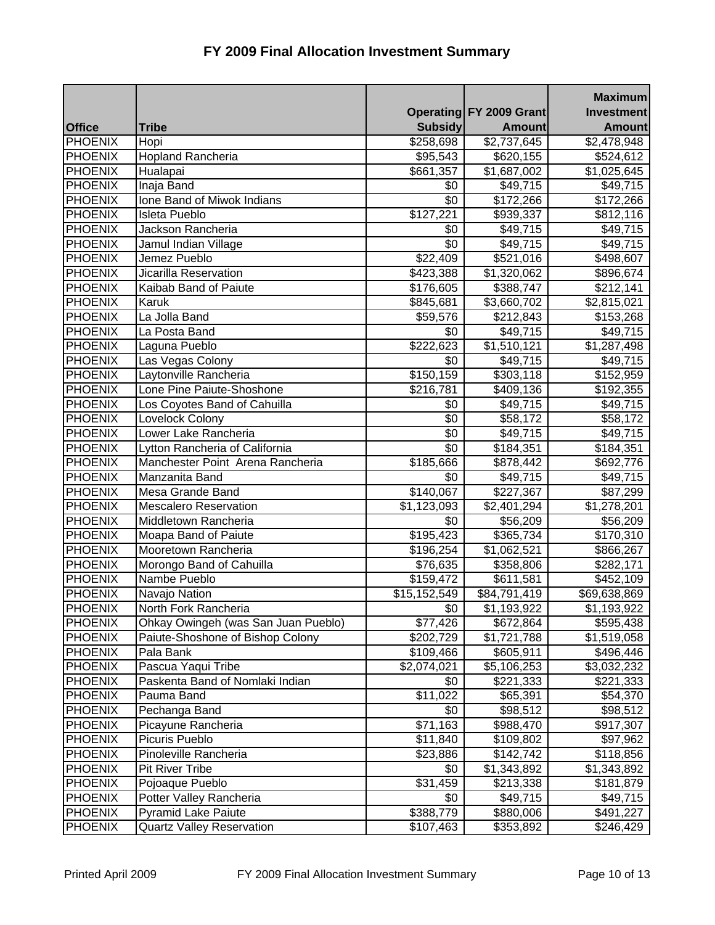|                |                                     |                 |                                | <b>Maximum</b> |
|----------------|-------------------------------------|-----------------|--------------------------------|----------------|
|                |                                     |                 | <b>Operating FY 2009 Grant</b> | Investment     |
| <b>Office</b>  | <b>Tribe</b>                        | <b>Subsidy</b>  | <b>Amount</b>                  | <b>Amount</b>  |
| <b>PHOENIX</b> | Hopi                                | \$258,698       | \$2,737,645                    | \$2,478,948    |
| <b>PHOENIX</b> | <b>Hopland Rancheria</b>            | \$95,543        | \$620,155                      | \$524,612      |
| <b>PHOENIX</b> | Hualapai                            | \$661,357       | \$1,687,002                    | \$1,025,645    |
| <b>PHOENIX</b> | Inaja Band                          | \$0             | \$49,715                       | \$49,715       |
| <b>PHOENIX</b> | Ione Band of Miwok Indians          | \$0             | \$172,266                      | \$172,266      |
| <b>PHOENIX</b> | <b>Isleta Pueblo</b>                | \$127,221       | \$939,337                      | \$812,116      |
| <b>PHOENIX</b> | Jackson Rancheria                   | \$0             | \$49,715                       | \$49,715       |
| <b>PHOENIX</b> | Jamul Indian Village                | \$0             | \$49,715                       | \$49,715       |
| <b>PHOENIX</b> | Jemez Pueblo                        | \$22,409        | \$521,016                      | \$498,607      |
| <b>PHOENIX</b> | Jicarilla Reservation               | \$423,388       | \$1,320,062                    | \$896,674      |
| <b>PHOENIX</b> | Kaibab Band of Paiute               | \$176,605       | \$388,747                      | \$212,141      |
| <b>PHOENIX</b> | Karuk                               | \$845,681       | \$3,660,702                    | \$2,815,021    |
| <b>PHOENIX</b> | La Jolla Band                       | \$59,576        | \$212,843                      | \$153,268      |
| <b>PHOENIX</b> | La Posta Band                       | \$0             | \$49,715                       | \$49,715       |
| <b>PHOENIX</b> | Laguna Pueblo                       | \$222,623       | \$1,510,121                    | \$1,287,498    |
| <b>PHOENIX</b> | Las Vegas Colony                    | \$0             | \$49,715                       | \$49,715       |
| <b>PHOENIX</b> | Laytonville Rancheria               | \$150,159       | \$303,118                      | \$152,959      |
| <b>PHOENIX</b> | Lone Pine Paiute-Shoshone           | \$216,781       | \$409,136                      | \$192,355      |
| <b>PHOENIX</b> | Los Coyotes Band of Cahuilla        | \$0             | \$49,715                       | \$49,715       |
| <b>PHOENIX</b> | Lovelock Colony                     | \$0             | \$58,172                       | \$58,172       |
| <b>PHOENIX</b> | Lower Lake Rancheria                | \$0             | \$49,715                       | \$49,715       |
| <b>PHOENIX</b> | Lytton Rancheria of California      | $\overline{50}$ | \$184,351                      | \$184,351      |
| <b>PHOENIX</b> | Manchester Point Arena Rancheria    | \$185,666       | \$878,442                      | \$692,776      |
| <b>PHOENIX</b> | Manzanita Band                      | \$0             | \$49,715                       | \$49,715       |
| <b>PHOENIX</b> | Mesa Grande Band                    | \$140,067       | \$227,367                      | \$87,299       |
| <b>PHOENIX</b> | <b>Mescalero Reservation</b>        | \$1,123,093     | \$2,401,294                    | \$1,278,201    |
| <b>PHOENIX</b> | Middletown Rancheria                | \$0             | \$56,209                       | \$56,209       |
| <b>PHOENIX</b> | Moapa Band of Paiute                | \$195,423       | \$365,734                      | \$170,310      |
| <b>PHOENIX</b> | Mooretown Rancheria                 | \$196,254       | \$1,062,521                    | \$866,267      |
| <b>PHOENIX</b> | Morongo Band of Cahuilla            | \$76,635        | \$358,806                      | \$282,171      |
| <b>PHOENIX</b> | Nambe Pueblo                        | \$159,472       | \$611,581                      | \$452,109      |
| <b>PHOENIX</b> | Navajo Nation                       | \$15,152,549    | \$84,791,419                   | \$69,638,869   |
| <b>PHOENIX</b> | North Fork Rancheria                | $\sqrt[6]{30}$  | \$1,193,922                    | \$1,193,922    |
| <b>PHOENIX</b> | Ohkay Owingeh (was San Juan Pueblo) | \$77,426        | \$672,864                      | \$595,438      |
| PHOENIX        | Paiute-Shoshone of Bishop Colony    | \$202,729       | \$1,721,788                    | \$1,519,058    |
| PHOENIX        | Pala Bank                           | \$109,466       | \$605,911                      | \$496,446      |
| <b>PHOENIX</b> | Pascua Yaqui Tribe                  | \$2,074,021     | \$5,106,253                    | \$3,032,232    |
| <b>PHOENIX</b> | Paskenta Band of Nomlaki Indian     | \$0             | \$221,333                      | \$221,333      |
| <b>PHOENIX</b> | Pauma Band                          | \$11,022        | \$65,391                       | \$54,370       |
| <b>PHOENIX</b> | Pechanga Band                       | \$0             | \$98,512                       | \$98,512       |
| <b>PHOENIX</b> | Picayune Rancheria                  | \$71,163        | \$988,470                      | \$917,307      |
| PHOENIX        | Picuris Pueblo                      | \$11,840        | \$109,802                      | \$97,962       |
| PHOENIX        | Pinoleville Rancheria               | \$23,886        | \$142,742                      | \$118,856      |
| <b>PHOENIX</b> | <b>Pit River Tribe</b>              | \$0             | \$1,343,892                    | \$1,343,892    |
| <b>PHOENIX</b> | Pojoaque Pueblo                     | \$31,459        | \$213,338                      | \$181,879      |
| <b>PHOENIX</b> | Potter Valley Rancheria             | \$0             | \$49,715                       | \$49,715       |
| <b>PHOENIX</b> | <b>Pyramid Lake Paiute</b>          | \$388,779       | \$880,006                      | \$491,227      |
| <b>PHOENIX</b> | <b>Quartz Valley Reservation</b>    | \$107,463       | \$353,892                      | \$246,429      |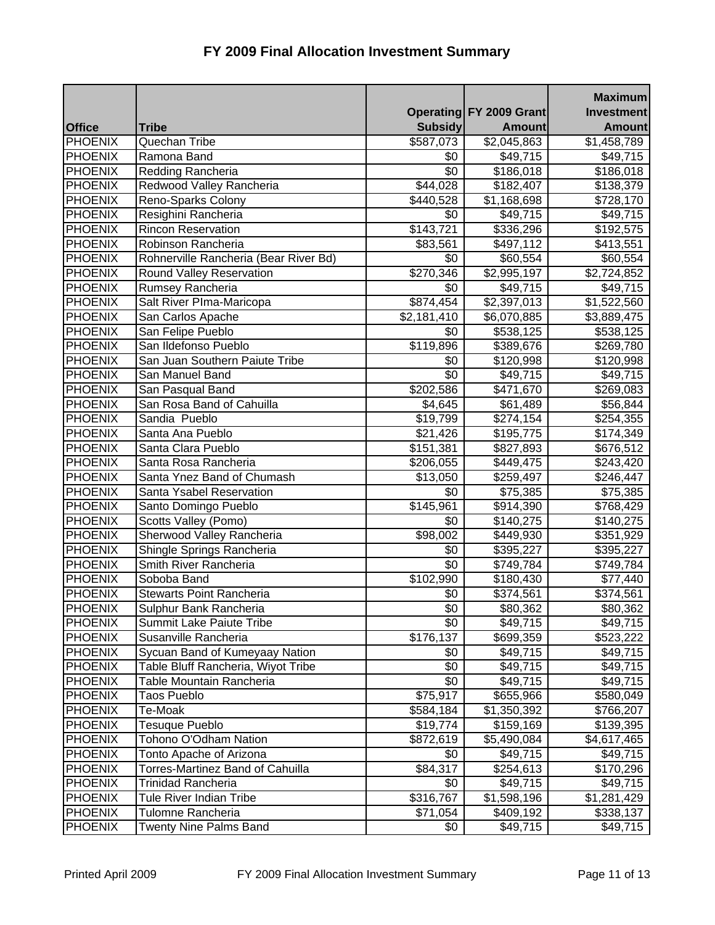|                |                                       |                |                                | <b>Maximum</b> |
|----------------|---------------------------------------|----------------|--------------------------------|----------------|
|                |                                       |                | <b>Operating FY 2009 Grant</b> | Investment     |
| <b>Office</b>  | <b>Tribe</b>                          | <b>Subsidy</b> | <b>Amount</b>                  | <b>Amount</b>  |
| <b>PHOENIX</b> | Quechan Tribe                         | \$587,073      | \$2,045,863                    | \$1,458,789    |
| <b>PHOENIX</b> | Ramona Band                           | \$0            | \$49,715                       | \$49,715       |
| <b>PHOENIX</b> | Redding Rancheria                     | \$0            | \$186,018                      | \$186,018      |
| <b>PHOENIX</b> | Redwood Valley Rancheria              | \$44,028       | \$182,407                      | \$138,379      |
| <b>PHOENIX</b> | Reno-Sparks Colony                    | \$440,528      | \$1,168,698                    | \$728,170      |
| <b>PHOENIX</b> | Resighini Rancheria                   | \$0            | \$49,715                       | \$49,715       |
| <b>PHOENIX</b> | Rincon Reservation                    | \$143,721      | \$336,296                      | \$192,575      |
| <b>PHOENIX</b> | Robinson Rancheria                    | \$83,561       | \$497,112                      | \$413,551      |
| <b>PHOENIX</b> | Rohnerville Rancheria (Bear River Bd) | \$0            | \$60,554                       | \$60,554       |
| <b>PHOENIX</b> | Round Valley Reservation              | \$270,346      | \$2,995,197                    | \$2,724,852    |
| PHOENIX        | Rumsey Rancheria                      | \$0            | \$49,715                       | \$49,715       |
| <b>PHOENIX</b> | Salt River Plma-Maricopa              | \$874,454      | \$2,397,013                    | \$1,522,560    |
| <b>PHOENIX</b> | San Carlos Apache                     | \$2,181,410    | \$6,070,885                    | \$3,889,475    |
| <b>PHOENIX</b> | San Felipe Pueblo                     | \$0            | \$538,125                      | \$538,125      |
| <b>PHOENIX</b> | San Ildefonso Pueblo                  | \$119,896      | \$389,676                      | \$269,780      |
| PHOENIX        | San Juan Southern Paiute Tribe        | \$0            | \$120,998                      | \$120,998      |
| <b>PHOENIX</b> | San Manuel Band                       | \$0            | \$49,715                       | \$49,715       |
| <b>PHOENIX</b> | San Pasqual Band                      | \$202,586      | \$471,670                      | \$269,083      |
| <b>PHOENIX</b> | San Rosa Band of Cahuilla             | \$4,645        | \$61,489                       | \$56,844       |
| <b>PHOENIX</b> | Sandia Pueblo                         | \$19,799       | \$274,154                      | \$254,355      |
| <b>PHOENIX</b> | Santa Ana Pueblo                      | \$21,426       | \$195,775                      | \$174,349      |
| <b>PHOENIX</b> | Santa Clara Pueblo                    | \$151,381      | \$827,893                      | \$676,512      |
| <b>PHOENIX</b> | Santa Rosa Rancheria                  | \$206,055      | \$449,475                      | \$243,420      |
| <b>PHOENIX</b> | Santa Ynez Band of Chumash            | \$13,050       | \$259,497                      | \$246,447      |
| <b>PHOENIX</b> | Santa Ysabel Reservation              | \$0            | \$75,385                       | \$75,385       |
| <b>PHOENIX</b> | Santo Domingo Pueblo                  | \$145,961      | \$914,390                      | \$768,429      |
| <b>PHOENIX</b> | Scotts Valley (Pomo)                  | \$0            | \$140,275                      | \$140,275      |
| <b>PHOENIX</b> | Sherwood Valley Rancheria             | \$98,002       | \$449,930                      | \$351,929      |
| PHOENIX        | Shingle Springs Rancheria             | \$0            | \$395,227                      | \$395,227      |
| PHOENIX        | Smith River Rancheria                 | \$0            | \$749,784                      | \$749,784      |
| PHOENIX        | Soboba Band                           | \$102,990      | \$180,430                      | \$77,440       |
| <b>PHOENIX</b> | Stewarts Point Rancheria              | \$0            | \$374,561                      | \$374,561      |
| <b>PHOENIX</b> | Sulphur Bank Rancheria                | \$0            | \$80,362                       | \$80,362       |
| PHOENIX        | Summit Lake Paiute Tribe              | \$0            | \$49,715                       | \$49,715       |
| PHOENIX        | Susanville Rancheria                  | \$176,137      | \$699,359                      | \$523,222      |
| PHOENIX        | Sycuan Band of Kumeyaay Nation        | \$0            | \$49,715                       | \$49,715       |
| PHOENIX        | Table Bluff Rancheria, Wiyot Tribe    | \$0            | \$49,715                       | \$49,715       |
| PHOENIX        | Table Mountain Rancheria              | \$0            | \$49,715                       | \$49,715       |
| <b>PHOENIX</b> | Taos Pueblo                           | \$75,917       | \$655,966                      | \$580,049      |
| PHOENIX        | Te-Moak                               | \$584,184      | \$1,350,392                    | \$766,207      |
| PHOENIX        | Tesuque Pueblo                        | \$19,774       | \$159,169                      | \$139,395      |
| <b>PHOENIX</b> | Tohono O'Odham Nation                 | \$872,619      | \$5,490,084                    | \$4,617,465    |
| <b>PHOENIX</b> | Tonto Apache of Arizona               | \$0            | \$49,715                       | \$49,715       |
| <b>PHOENIX</b> | Torres-Martinez Band of Cahuilla      | \$84,317       | \$254,613                      | \$170,296      |
| <b>PHOENIX</b> | Trinidad Rancheria                    | \$0            | \$49,715                       | \$49,715       |
| <b>PHOENIX</b> | Tule River Indian Tribe               | \$316,767      | \$1,598,196                    | \$1,281,429    |
| PHOENIX        | Tulomne Rancheria                     | \$71,054       | \$409,192                      | \$338,137      |
| <b>PHOENIX</b> | <b>Twenty Nine Palms Band</b>         | \$0            | \$49,715                       | \$49,715       |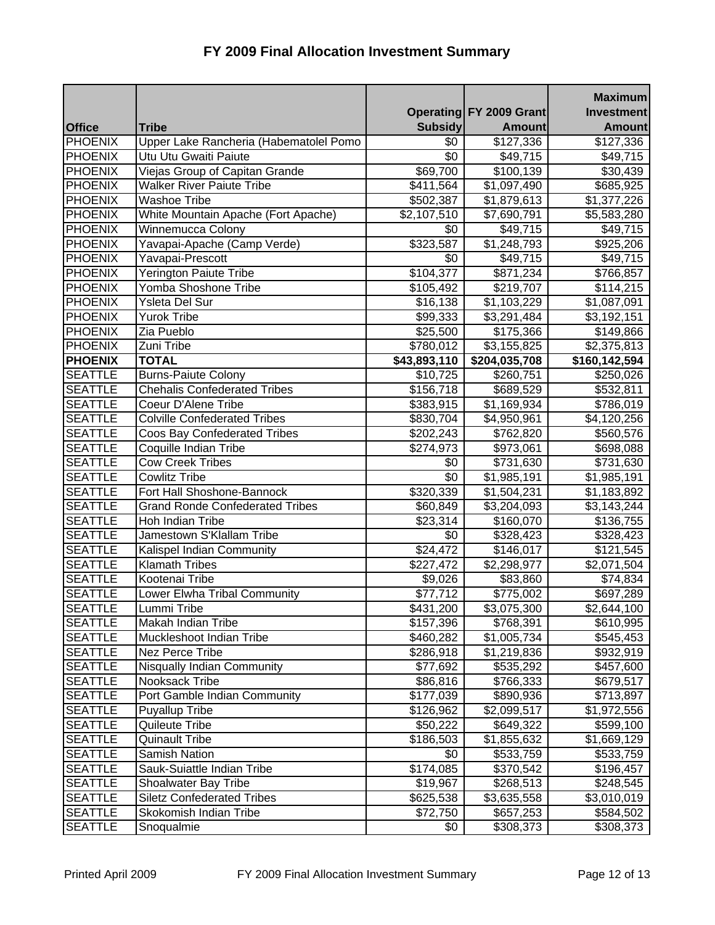|                |                                        |                |                         | <b>Maximum</b>    |
|----------------|----------------------------------------|----------------|-------------------------|-------------------|
|                |                                        |                | Operating FY 2009 Grant | <b>Investment</b> |
| <b>Office</b>  | <b>Tribe</b>                           | <b>Subsidy</b> | <b>Amount</b>           | <b>Amount</b>     |
| <b>PHOENIX</b> | Upper Lake Rancheria (Habematolel Pomo | \$0            | \$127,336               | \$127,336         |
| <b>PHOENIX</b> | Utu Utu Gwaiti Paiute                  | \$0            | \$49,715                | \$49,715          |
| <b>PHOENIX</b> | Viejas Group of Capitan Grande         | \$69,700       | \$100,139               | \$30,439          |
| <b>PHOENIX</b> | <b>Walker River Paiute Tribe</b>       | \$411,564      | \$1,097,490             | \$685,925         |
| PHOENIX        | <b>Washoe Tribe</b>                    | \$502,387      | \$1,879,613             | \$1,377,226       |
| <b>PHOENIX</b> | White Mountain Apache (Fort Apache)    | \$2,107,510    | \$7,690,791             | \$5,583,280       |
| <b>PHOENIX</b> | Winnemucca Colony                      | \$0            | \$49,715                | \$49,715          |
| <b>PHOENIX</b> | Yavapai-Apache (Camp Verde)            | \$323,587      | \$1,248,793             | \$925,206         |
| <b>PHOENIX</b> | Yavapai-Prescott                       | \$0            | \$49,715                | \$49,715          |
| <b>PHOENIX</b> | Yerington Paiute Tribe                 | \$104,377      | \$871,234               | \$766,857         |
| PHOENIX        | Yomba Shoshone Tribe                   | \$105,492      | \$219,707               | \$114,215         |
| <b>PHOENIX</b> | Ysleta Del Sur                         | \$16,138       | \$1,103,229             | \$1,087,091       |
| <b>PHOENIX</b> | Yurok Tribe                            | \$99,333       | \$3,291,484             | \$3,192,151       |
| <b>PHOENIX</b> | Zia Pueblo                             | \$25,500       | \$175,366               | \$149,866         |
| <b>PHOENIX</b> | Zuni Tribe                             | \$780,012      | $\overline{3,}155,825$  | \$2,375,813       |
| <b>PHOENIX</b> | <b>TOTAL</b>                           | \$43,893,110   | \$204,035,708           | \$160,142,594     |
| <b>SEATTLE</b> | <b>Burns-Paiute Colony</b>             | \$10,725       | \$260,751               | \$250,026         |
| <b>SEATTLE</b> | <b>Chehalis Confederated Tribes</b>    | \$156,718      | \$689,529               | \$532,811         |
| <b>SEATTLE</b> | <b>Coeur D'Alene Tribe</b>             | \$383,915      | \$1,169,934             | \$786,019         |
| <b>SEATTLE</b> | <b>Colville Confederated Tribes</b>    | \$830,704      | \$4,950,961             | \$4,120,256       |
| <b>SEATTLE</b> | Coos Bay Confederated Tribes           | \$202,243      | \$762,820               | \$560,576         |
| <b>SEATTLE</b> | Coquille Indian Tribe                  | \$274,973      | \$973,061               | \$698,088         |
| <b>SEATTLE</b> | <b>Cow Creek Tribes</b>                | \$0            | \$731,630               | \$731,630         |
| <b>SEATTLE</b> | <b>Cowlitz Tribe</b>                   | \$0            | \$1,985,191             | \$1,985,191       |
| <b>SEATTLE</b> | Fort Hall Shoshone-Bannock             | \$320,339      | \$1,504,231             | \$1,183,892       |
| <b>SEATTLE</b> | <b>Grand Ronde Confederated Tribes</b> | \$60,849       | \$3,204,093             | \$3,143,244       |
| <b>SEATTLE</b> | Hoh Indian Tribe                       | \$23,314       | \$160,070               | \$136,755         |
| <b>SEATTLE</b> | Jamestown S'Klallam Tribe              | \$0            | \$328,423               | \$328,423         |
| <b>SEATTLE</b> | Kalispel Indian Community              | \$24,472       | \$146,017               | \$121,545         |
| <b>SEATTLE</b> | <b>Klamath Tribes</b>                  | \$227,472      | \$2,298,977             | \$2,071,504       |
| <b>SEATTLE</b> | Kootenai Tribe                         | \$9,026        | \$83,860                | \$74,834          |
| <b>SEATTLE</b> | Lower Elwha Tribal Community           | \$77,712       | \$775,002               | \$697,289         |
| <b>SEATTLE</b> | Lummi Tribe                            | \$431,200      | \$3,075,300             | \$2,644,100       |
| <b>SEATTLE</b> | Makah Indian Tribe                     | \$157,396      | \$768,391               | \$610,995         |
| <b>SEATTLE</b> | Muckleshoot Indian Tribe               | \$460,282      | \$1,005,734             | \$545,453         |
| <b>SEATTLE</b> | Nez Perce Tribe                        | \$286,918      | \$1,219,836             | \$932,919         |
| <b>SEATTLE</b> | Nisqually Indian Community             | \$77,692       | \$535,292               | \$457,600         |
| <b>SEATTLE</b> | Nooksack Tribe                         | \$86,816       | \$766,333               | \$679,517         |
| <b>SEATTLE</b> | Port Gamble Indian Community           | \$177,039      | \$890,936               | \$713,897         |
| SEATTLE        | Puyallup Tribe                         | \$126,962      | \$2,099,517             | \$1,972,556       |
| <b>SEATTLE</b> | Quileute Tribe                         | \$50,222       | \$649,322               | \$599,100         |
| <b>SEATTLE</b> | <b>Quinault Tribe</b>                  | \$186,503      | \$1,855,632             | \$1,669,129       |
| <b>SEATTLE</b> | <b>Samish Nation</b>                   | \$0            | \$533,759               | \$533,759         |
| <b>SEATTLE</b> | Sauk-Suiattle Indian Tribe             | \$174,085      | \$370,542               | \$196,457         |
| <b>SEATTLE</b> | Shoalwater Bay Tribe                   | \$19,967       | \$268,513               | \$248,545         |
| <b>SEATTLE</b> | <b>Siletz Confederated Tribes</b>      | \$625,538      | \$3,635,558             | \$3,010,019       |
| <b>SEATTLE</b> | Skokomish Indian Tribe                 | \$72,750       | \$657,253               | \$584,502         |
| <b>SEATTLE</b> | Snoqualmie                             | \$0            | \$308,373               | \$308,373         |